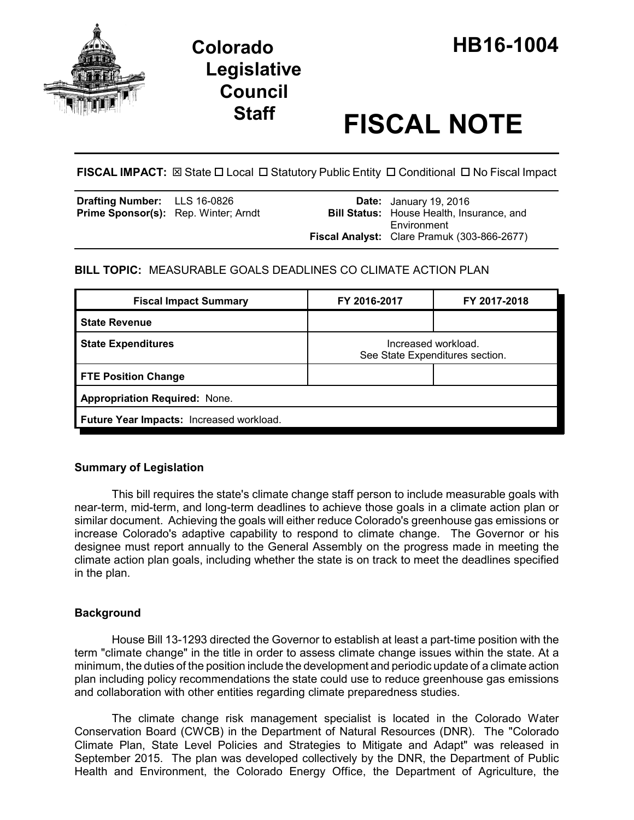

# **Legislative Council**

# **Staff FISCAL NOTE**

**FISCAL IMPACT:**  $\boxtimes$  State  $\Box$  Local  $\Box$  Statutory Public Entity  $\Box$  Conditional  $\Box$  No Fiscal Impact

| <b>Drafting Number:</b> LLS 16-0826<br><b>Prime Sponsor(s):</b> Rep. Winter; Arndt |  | <b>Date:</b> January 19, 2016<br><b>Bill Status:</b> House Health, Insurance, and |
|------------------------------------------------------------------------------------|--|-----------------------------------------------------------------------------------|
|                                                                                    |  | Environment<br>Fiscal Analyst: Clare Pramuk (303-866-2677)                        |

# **BILL TOPIC:** MEASURABLE GOALS DEADLINES CO CLIMATE ACTION PLAN

| <b>Fiscal Impact Summary</b>             | FY 2016-2017                                           | FY 2017-2018 |  |  |
|------------------------------------------|--------------------------------------------------------|--------------|--|--|
| <b>State Revenue</b>                     |                                                        |              |  |  |
| <b>State Expenditures</b>                | Increased workload.<br>See State Expenditures section. |              |  |  |
| <b>FTE Position Change</b>               |                                                        |              |  |  |
| <b>Appropriation Required: None.</b>     |                                                        |              |  |  |
| Future Year Impacts: Increased workload. |                                                        |              |  |  |

## **Summary of Legislation**

This bill requires the state's climate change staff person to include measurable goals with near-term, mid-term, and long-term deadlines to achieve those goals in a climate action plan or similar document. Achieving the goals will either reduce Colorado's greenhouse gas emissions or increase Colorado's adaptive capability to respond to climate change. The Governor or his designee must report annually to the General Assembly on the progress made in meeting the climate action plan goals, including whether the state is on track to meet the deadlines specified in the plan.

## **Background**

House Bill 13-1293 directed the Governor to establish at least a part-time position with the term "climate change" in the title in order to assess climate change issues within the state. At a minimum, the duties of the position include the development and periodic update of a climate action plan including policy recommendations the state could use to reduce greenhouse gas emissions and collaboration with other entities regarding climate preparedness studies.

The climate change risk management specialist is located in the Colorado Water Conservation Board (CWCB) in the Department of Natural Resources (DNR). The "Colorado Climate Plan, State Level Policies and Strategies to Mitigate and Adapt" was released in September 2015. The plan was developed collectively by the DNR, the Department of Public Health and Environment, the Colorado Energy Office, the Department of Agriculture, the